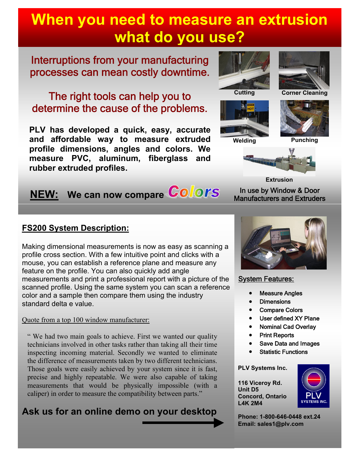# **When you need to measure an extrusion what do you use?**

# Interruptions from your manufacturing processes can mean costly downtime.

# The right tools can help you to determine the cause of the problems.

**PLV has developed a quick, easy, accurate and affordable way to measure extruded profile dimensions, angles and colors. We measure PVC, aluminum, fiberglass and rubber extruded profiles.**

# **NEW:** We can now compare **Colors**

### **FS200 System Description:**

Making dimensional measurements is now as easy as scanning a profile cross section. With a few intuitive point and clicks with a mouse, you can establish a reference plane and measure any feature on the profile. You can also quickly add angle measurements and print a professional report with a picture of the scanned profile. Using the same system you can scan a reference color and a sample then compare them using the industry standard delta e value.

Quote from a top 100 window manufacturer:

" We had two main goals to achieve. First we wanted our quality technicians involved in other tasks rather than taking all their time inspecting incoming material. Secondly we wanted to eliminate the difference of measurements taken by two different technicians. Those goals were easily achieved by your system since it is fast, precise and highly repeatable. We were also capable of taking measurements that would be physically impossible (with a caliper) in order to measure the compatibility between parts."

# **Ask us for an online demo on your desktop**





**Cutting Corner Cleaning**







In use by Window & Door Manufacturers and Extruders **Extrusion**



### System Features:

- Measure Angles
- **Dimensions**
- Compare Colors
- User defined XY Plane
- Nominal Cad Overlay
- Print Reports
- Save Data and Images
- Statistic Functions

#### **PLV Systems Inc.**

**116 Viceroy Rd. Unit D5 Concord, Ontario L4K 2M4**



**Phone: 1-800-646-0448 ext.24 Email: sales1@plv.com**